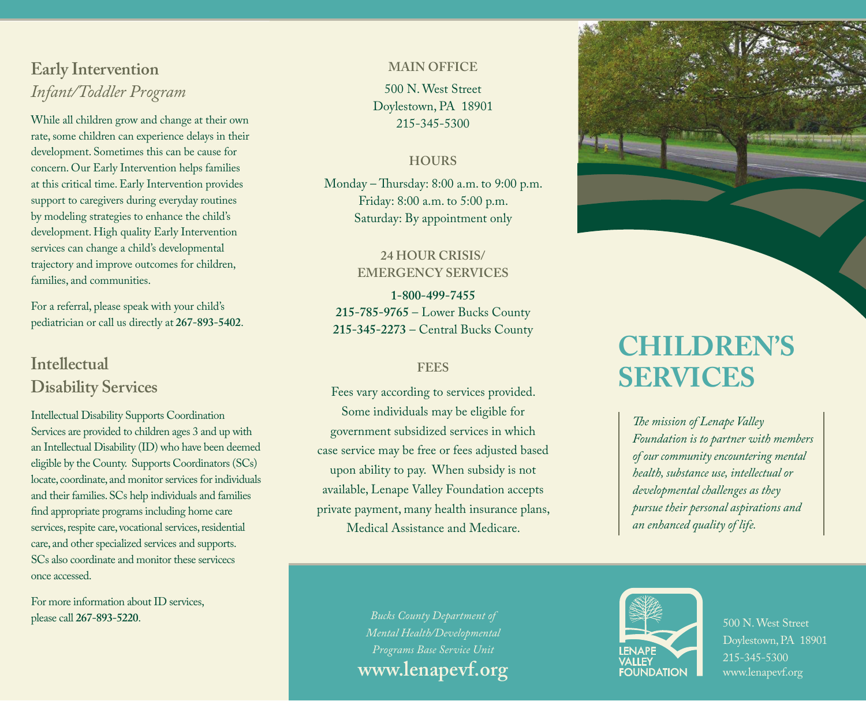## **Early Intervention** *Infant/Toddler Program*

While all children grow and change at their own rate, some children can experience delays in their development. Sometimes this can be cause for concern. Our Early Intervention helps families at this critical time. Early Intervention provides support to caregivers during everyday routines by modeling strategies to enhance the child's development. High quality Early Intervention services can change a child's developmental trajectory and improve outcomes for children, families, and communities.

For a referral, please speak with your child's pediatrician or call us directly at **267-893-5402**.

## **Intellectual Disability Services**

Intellectual Disability Supports Coordination Services are provided to children ages 3 and up with an Intellectual Disability (ID) who have been deemed eligible by the County. Supports Coordinators (SCs) locate, coordinate, and monitor services for individuals and their families. SCs help individuals and families find appropriate programs including home care services, respite care, vocational services, residential care, and other specialized services and supports. SCs also coordinate and monitor these servicecs once accessed.

For more information about ID services,

#### **MAIN OFFICE**

500 N. West Street Doylestown, PA 18901 215-345-5300

### **HOURS**

Monday – Thursday: 8:00 a.m. to 9:00 p.m. Friday: 8:00 a.m. to 5:00 p.m. Saturday: By appointment only

### **24 HOUR CRISIS/ EMERGENCY SERVICES**

**1-800-499-7455 215-785-9765** – Lower Bucks County **215-345-2273** – Central Bucks County

### **FEES**

Fees vary according to services provided. Some individuals may be eligible for government subsidized services in which case service may be free or fees adjusted based upon ability to pay. When subsidy is not available, Lenape Valley Foundation accepts private payment, many health insurance plans, Medical Assistance and Medicare.



# **CHILDREN'S SERVICES**

*The mission of Lenape Valley Foundation is to partner with members of our community encountering mental health, substance use, intellectual or developmental challenges as they pursue their personal aspirations and an enhanced quality of life.*

please call 267-893-5220. **Exercise 200 and Street** Sucks County Department of the control of the street Street Street Street Street Street Street Street Street Street Street Street Street Street Street Street Street Stree *Bucks County Department of Mental Health/Developmental Programs Base Service Unit* **www.lenapevf.org**



Doylestown, PA 18901 215-345-5300 www.lenapevf.org